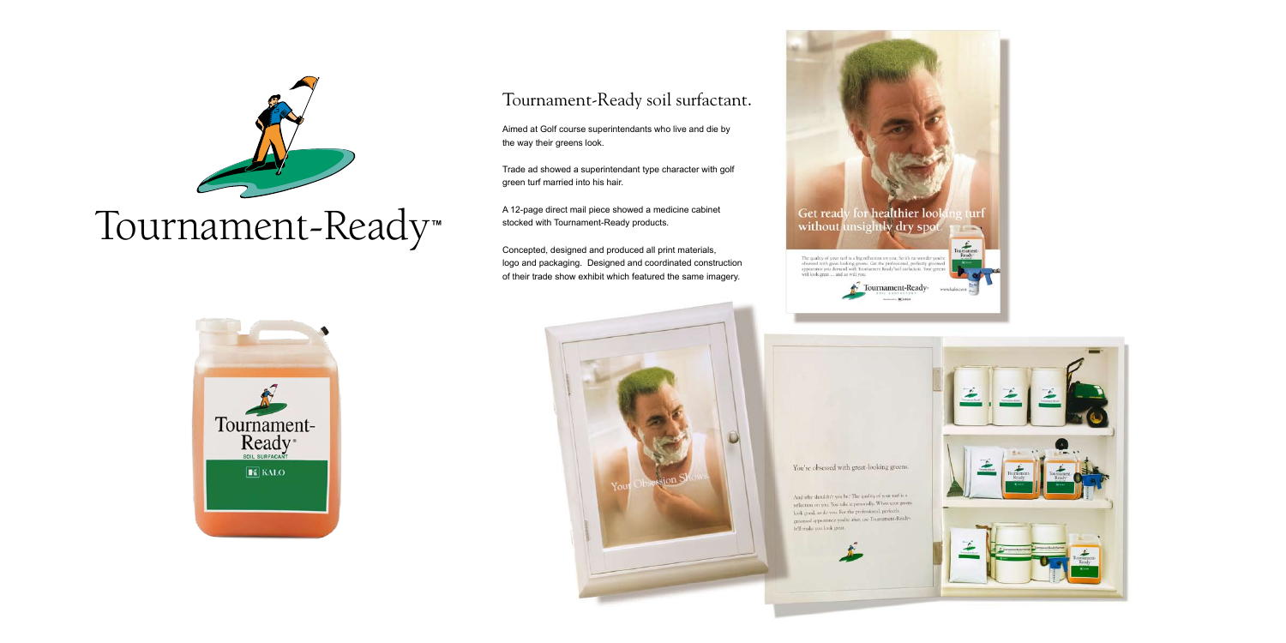## Tournament-Ready soil surfactant.

Aimed at Golf course superintendants who live and die by the way their greens look.

Trade ad showed a superintendant type character with golf green turf married into his hair.

A 12-page direct mail piece showed a medicine cabinet stocked with Tournament-Ready products.

Concepted, designed and produced all print materials, logo and packaging. Designed and coordinated construction of their trade show exhibit which featured the same imagery.





The quality of your turf is a big reflection on you. So it's no wonder you're<br>obsessed with great-looking greens. Get the professional, perfectly groomed<br>appearance you demand with Tournament Ready"soil surfactant. Your gr

It'll make you look great.

Tournament-Ready-

minimum DE KALA







# Tournament-Ready**™**

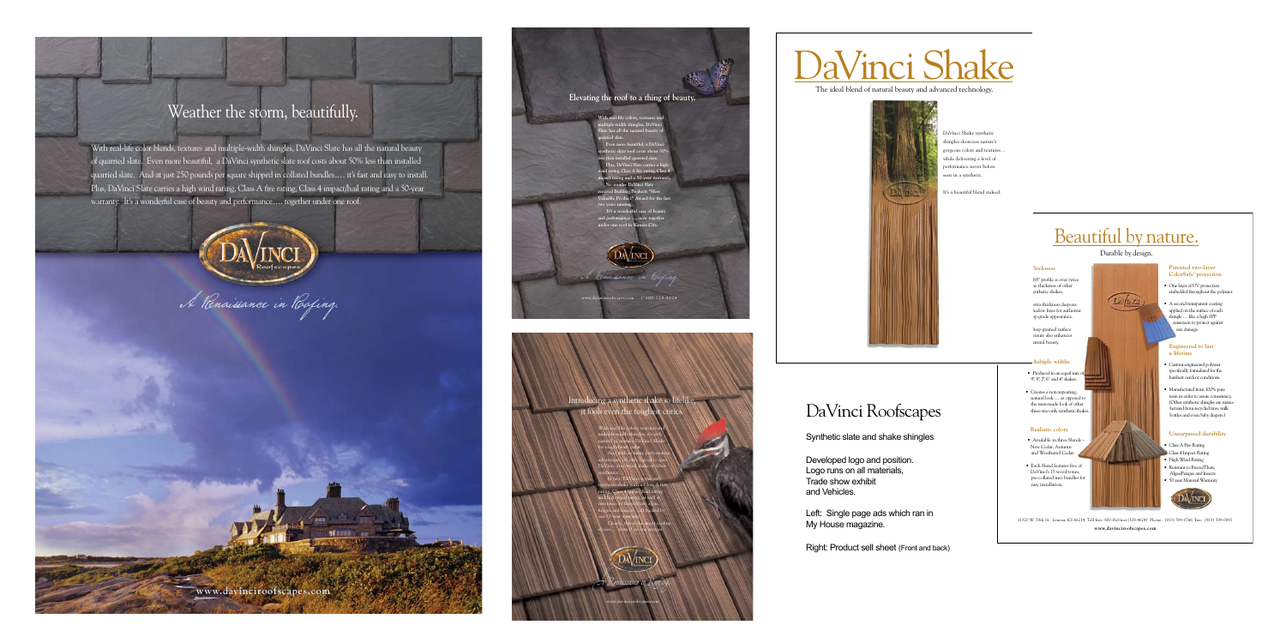## Weather the storm, beautifully.

With real-life color blends, textures and multiple-width shingles, DaVinci Slate has all the natural beauty of quarried slate. Even more beautiful, a DaVinci synthetic slate roof costs about 50% less than installed quarried slate. And at just 250 pounds per square shipped in collated bundles.… it's fast and easy to install. Plus, DaVinci Slate carries a high wind rating, Class A fire rating, Class 4 impact/hail rating and a 50-year warranty. It's a wonderful case of beauty and performance…. together under one roof.

**www.davinciroofscapes.com**



DaVinci Roofscapes

Synthetic slate and shake shingles

**Valuable Product" Award for the last two years running.** It's a wonderful case of beau

> Developed logo and position. Logo runs on all materials, Trade show exhibit and Vehicles.

Left: Single page ads which ran in My House magazine.

Right: Product sell sheet (Front and back)





**With real-life colors, textures and multiple-width shingles, DaVinci Slate has all the natural beauty of quarried slate. Even more beautiful, a DaVinci** 

Introducing a synthetic shake so lifelike, it fools even the toughest critic

**synthetic slate roof costs about 50% less than installed quarried slate. Plus, DaVinci Slate carries a high wind rating, Class A fire rating, Class 4 impact rating and a 50-year warranty. No wonder DaVinci Slate received Building Products "Most** 

> • 5/8" profile is over twice the thickness of other nthetic shakes.

> > • Extra thickness deepens hadow lines for authentic p-grade appearance.

• Produced in an equal mix 9", 8", 7", 6" and 4" shakes.

 • Creates a non-repeating, natural look … as opposed to the man-made look of other three-size-only synthetic shake

**and performance …. now together under one roof in Kansas City.**

**Elevating the roof to a thing of beauty.**

**www.davinciroofscapes.com**

A Renaissance in Roofing.

With real-life colors, textures and

multiple-width shingles, it's only natural to mistake DaVinci Shake for rough-hewn cedar. And with so many performance advantages, it's only logical to spec DaVinci over wood shake or other synthetics. In fact, DaVinci is the only

synthetic shake with a Class A fire rating, Class 4 impact/hail rating and high wind rating, as well as resistance to freeze/thaw, algae, fungus and insects – all backed by our 50-year warranty. Clearly, this is the smart roofing

**DAVINCI** 

choice…. even if no one notices.

## Beautiful by nature.

## Durable by design.

11320 W. 79th St. Lenexa, KS 66214 Toll-free: 800-DaVinci(328-4624) Phone: (913) 599-0766 Fax: (913) 599-0065 **www.davinciroofscapes.com**

### **Thickness**

 • Deep-grained surface exture also enhances natural beauty.

### **Multiple widths**

#### **Realistic colors**

- Available in three blends New Cedar, Autumn and Weathered Cedar.
- Each blend features five of DaVinci's 15 wood-tones, pre-collated into bundles for easy installation.



#### **Patented two-layer ColorSafe™ protection**

- One layer of UV protection embedded throughout the polymer.
- A second transparent coating applied on the surface of each shingle … like a high SPF nscreen to protect against sun damage.

#### **Engineered to last a lifetime**

- Custom-engineered polymer specifically formulated for the harshest outdoor conditions.
- Manufactured from 100% pure resin in order to assure consistency. (Other synthetic shingles are manu factured from recycled tires, milk bottles and even baby diapers.)

#### **Unsurpassed durability**

- Class A Fire Rating
- Class 4 Impact Rating
- High Wind Rating
- Resistant to Freeze/Thaw, Algae/Fungus and Insects • 50-year Material Warranty



# DaVinci Shake

The ideal blend of natural beauty and advanced technology.



DaVinci Shake synthetic shingles showcase nature's gorgeous colors and textures… while delivering a level of performance never before seen in a synthetic.

It's a beautiful blend indeed.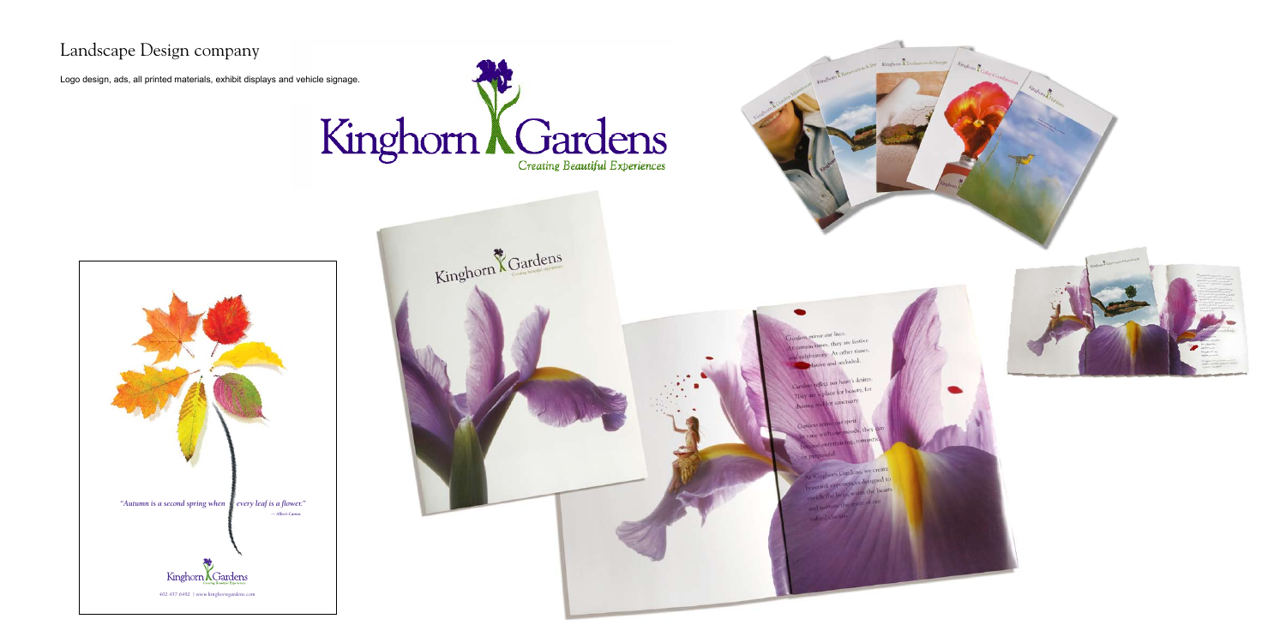





r our lives es, they are festive At other times, Libertofy.  $1.1$ 

## Landscape Design company

Logo design, ads, all printed materials, exhibit displays and vehicle signage.

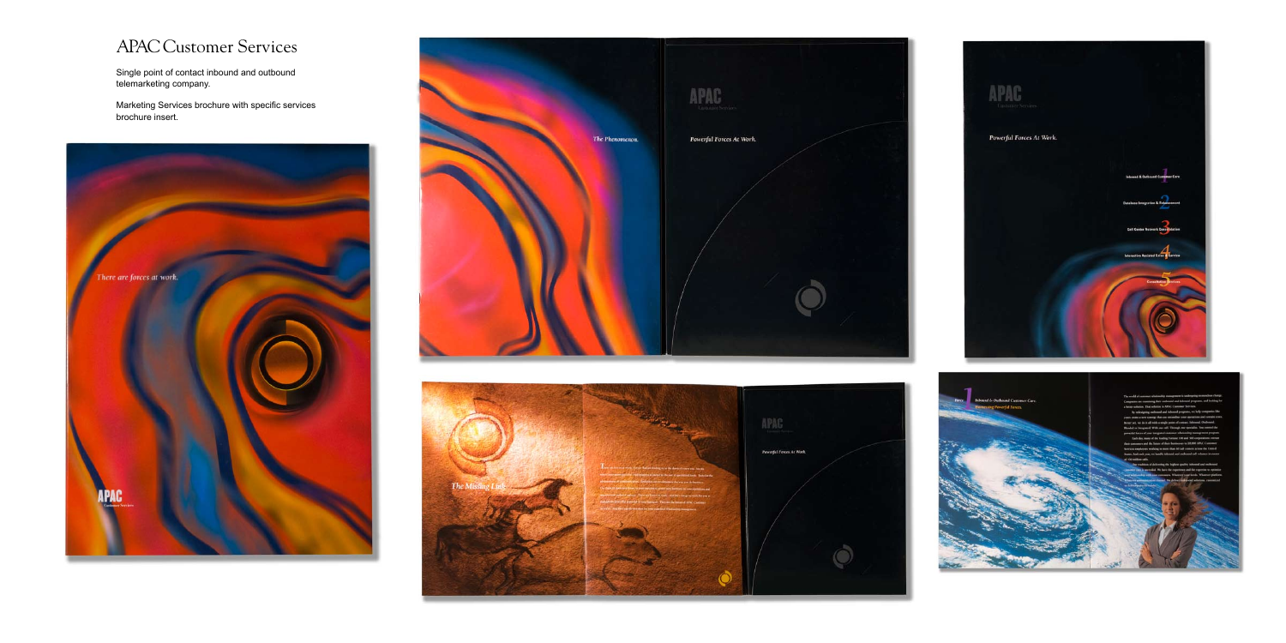## APAC Customer Services

Single point of contact inbound and outbound telemarketing company.

Marketing Services brochure with specific services brochure insert.